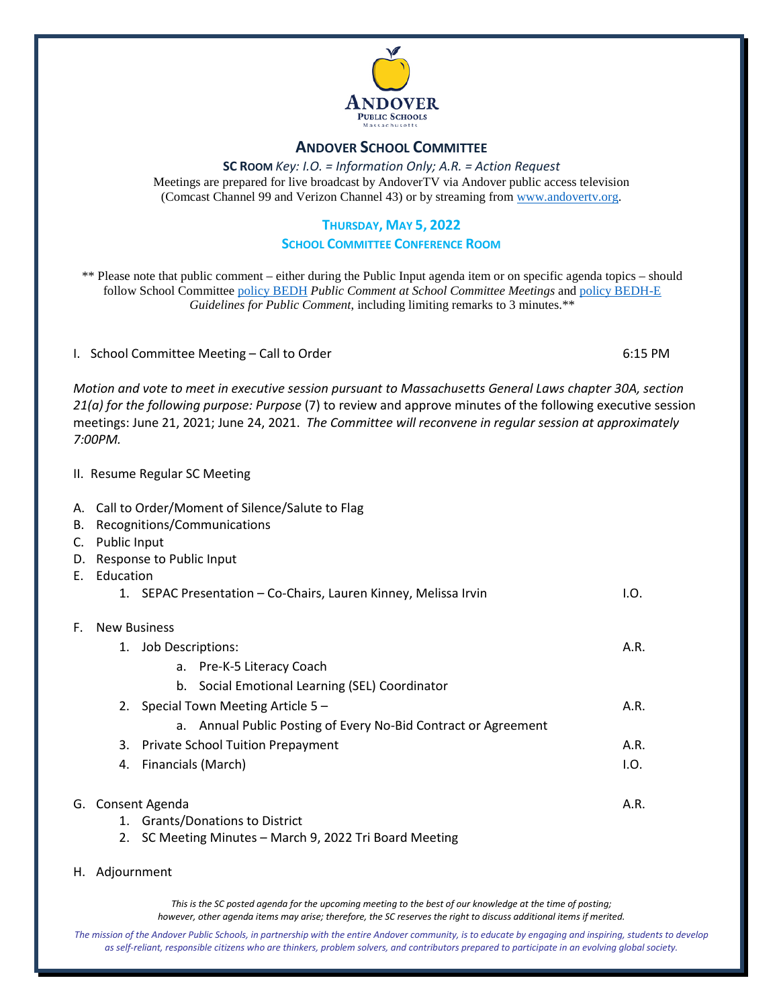

## **ANDOVER SCHOOL COMMITTEE**

**SC ROOM** *Key: I.O. = Information Only; A.R. = Action Request* Meetings are prepared for live broadcast by AndoverTV via Andover public access television (Comcast Channel 99 and Verizon Channel 43) or by streaming from [www.andovertv.org.](http://www.andovertv.org/)

#### **THURSDAY, MAY 5, 2022**

#### **SCHOOL COMMITTEE CONFERENCE ROOM**

\*\* Please note that public comment – either during the Public Input agenda item or on specific agenda topics – should follow School Committee [policy BEDH](https://z2policy.ctspublish.com/masc/browse/andoverset/andover/BEDH) *Public Comment at School Committee Meetings* an[d policy BEDH-E](https://z2policy.ctspublish.com/masc/browse/andoverset/andover/BEDH-E/z2Code_BEDH-E) *Guidelines for Public Comment*, including limiting remarks to 3 minutes.\*\*

I. School Committee Meeting – Call to Order 6:15 PM

*Motion and vote to meet in executive session pursuant to Massachusetts General Laws chapter 30A, section 21(a) for the following purpose: Purpose* (7) to review and approve minutes of the following executive session meetings: June 21, 2021; June 24, 2021. *The Committee will reconvene in regular session at approximately 7:00PM.*

- II. Resume Regular SC Meeting
- A. Call to Order/Moment of Silence/Salute to Flag
- B. Recognitions/Communications
- C. Public Input
- D. Response to Public Input
- E. Education

|  | 1. SEPAC Presentation - Co-Chairs, Lauren Kinney, Melissa Irvin | I.O. |
|--|-----------------------------------------------------------------|------|
|--|-----------------------------------------------------------------|------|

## F. New Business

- 1. Job Descriptions: A.R. a. Pre-K-5 Literacy Coach b. Social Emotional Learning (SEL) Coordinator 2. Special Town Meeting Article 5 – A.R.
	- a. Annual Public Posting of Every No-Bid Contract or Agreement
	- 3. Private School Tuition Prepayment **A.R.** A.R.
	- 4. Financials (March) I.O.

#### G. Consent Agenda A.R.

1. Grants/Donations to District

2. SC Meeting Minutes – March 9, 2022 Tri Board Meeting

H. Adjournment

*This is the SC posted agenda for the upcoming meeting to the best of our knowledge at the time of posting; however, other agenda items may arise; therefore, the SC reserves the right to discuss additional items if merited.*

*The mission of the Andover Public Schools, in partnership with the entire Andover community, is to educate by engaging and inspiring, students to develop as self-reliant, responsible citizens who are thinkers, problem solvers, and contributors prepared to participate in an evolving global society.*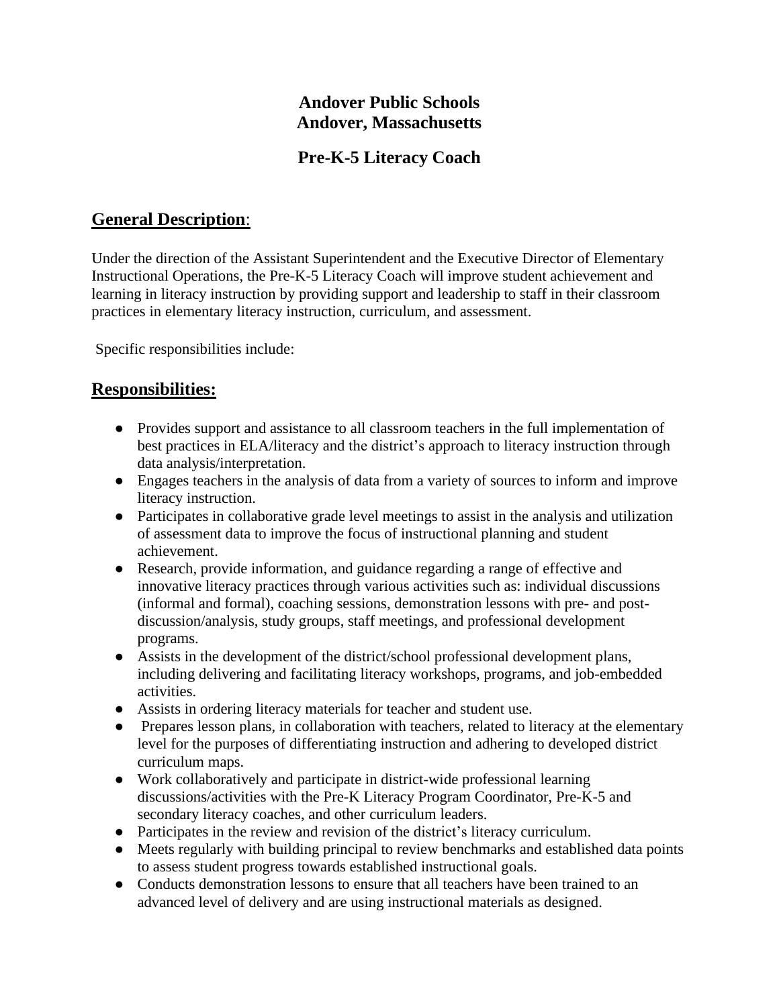# **Andover Public Schools Andover, Massachusetts**

## **Pre-K-5 Literacy Coach**

# **General Description**:

Under the direction of the Assistant Superintendent and the Executive Director of Elementary Instructional Operations, the Pre-K-5 Literacy Coach will improve student achievement and learning in literacy instruction by providing support and leadership to staff in their classroom practices in elementary literacy instruction, curriculum, and assessment.

Specific responsibilities include:

## **Responsibilities:**

- Provides support and assistance to all classroom teachers in the full implementation of best practices in ELA/literacy and the district's approach to literacy instruction through data analysis/interpretation.
- Engages teachers in the analysis of data from a variety of sources to inform and improve literacy instruction.
- Participates in collaborative grade level meetings to assist in the analysis and utilization of assessment data to improve the focus of instructional planning and student achievement.
- Research, provide information, and guidance regarding a range of effective and innovative literacy practices through various activities such as: individual discussions (informal and formal), coaching sessions, demonstration lessons with pre- and postdiscussion/analysis, study groups, staff meetings, and professional development programs.
- Assists in the development of the district/school professional development plans, including delivering and facilitating literacy workshops, programs, and job-embedded activities.
- Assists in ordering literacy materials for teacher and student use.
- Prepares lesson plans, in collaboration with teachers, related to literacy at the elementary level for the purposes of differentiating instruction and adhering to developed district curriculum maps.
- Work collaboratively and participate in district-wide professional learning discussions/activities with the Pre-K Literacy Program Coordinator, Pre-K-5 and secondary literacy coaches, and other curriculum leaders.
- Participates in the review and revision of the district's literacy curriculum.
- Meets regularly with building principal to review benchmarks and established data points to assess student progress towards established instructional goals.
- Conducts demonstration lessons to ensure that all teachers have been trained to an advanced level of delivery and are using instructional materials as designed.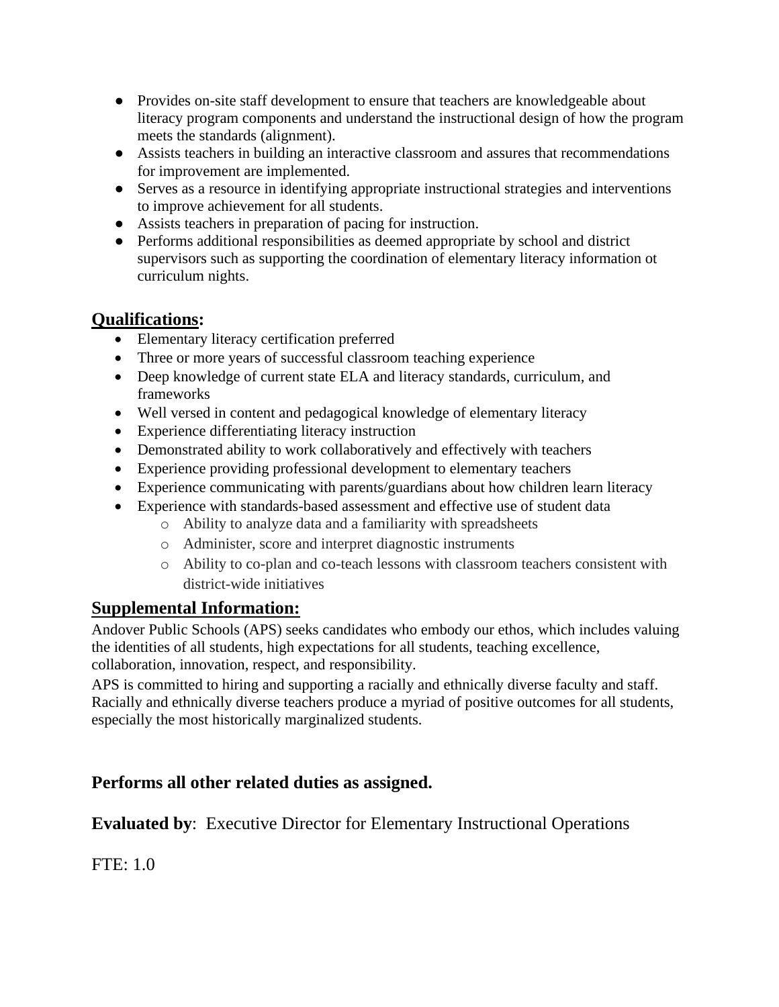- Provides on-site staff development to ensure that teachers are knowledgeable about literacy program components and understand the instructional design of how the program meets the standards (alignment).
- Assists teachers in building an interactive classroom and assures that recommendations for improvement are implemented.
- Serves as a resource in identifying appropriate instructional strategies and interventions to improve achievement for all students.
- Assists teachers in preparation of pacing for instruction.
- Performs additional responsibilities as deemed appropriate by school and district supervisors such as supporting the coordination of elementary literacy information ot curriculum nights.

# **Qualifications:**

- Elementary literacy certification preferred
- Three or more years of successful classroom teaching experience
- Deep knowledge of current state ELA and literacy standards, curriculum, and frameworks
- Well versed in content and pedagogical knowledge of elementary literacy
- Experience differentiating literacy instruction
- Demonstrated ability to work collaboratively and effectively with teachers
- Experience providing professional development to elementary teachers
- Experience communicating with parents/guardians about how children learn literacy
- Experience with standards-based assessment and effective use of student data
	- o Ability to analyze data and a familiarity with spreadsheets
	- o Administer, score and interpret diagnostic instruments
	- o Ability to co-plan and co-teach lessons with classroom teachers consistent with district-wide initiatives

## **Supplemental Information:**

Andover Public Schools (APS) seeks candidates who embody our ethos, which includes valuing the identities of all students, high expectations for all students, teaching excellence, collaboration, innovation, respect, and responsibility.

APS is committed to hiring and supporting a racially and ethnically diverse faculty and staff. Racially and ethnically diverse teachers produce a myriad of positive outcomes for all students, especially the most historically marginalized students.

## **Performs all other related duties as assigned.**

**Evaluated by**: Executive Director for Elementary Instructional Operations

FTE: 1.0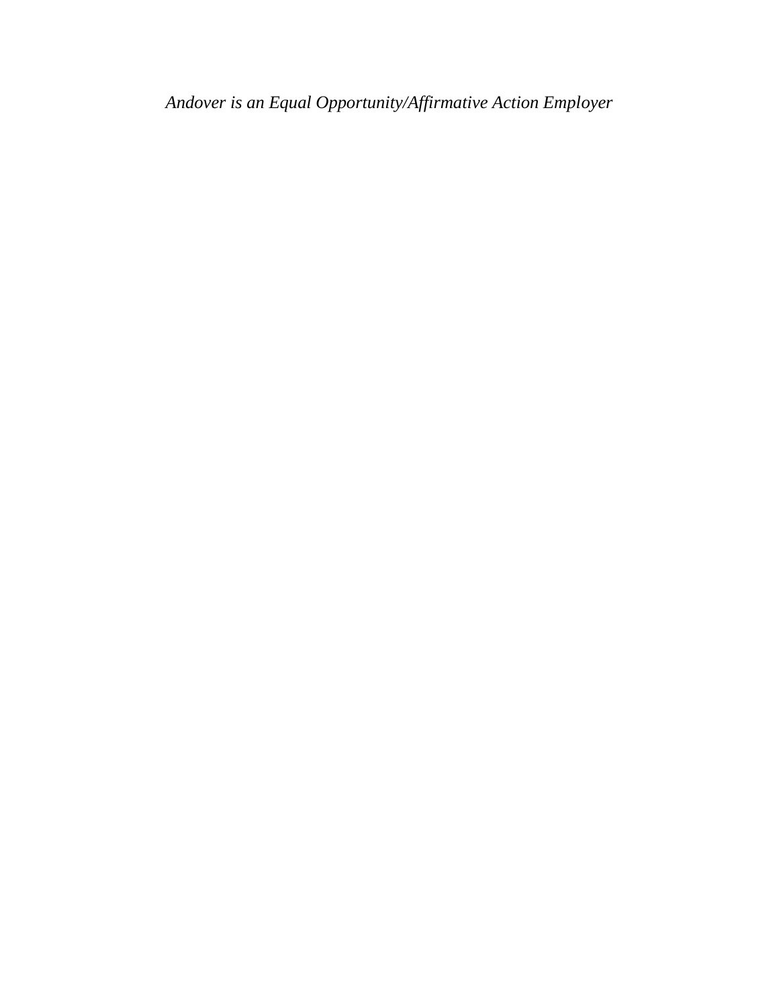*Andover is an Equal Opportunity/Affirmative Action Employer*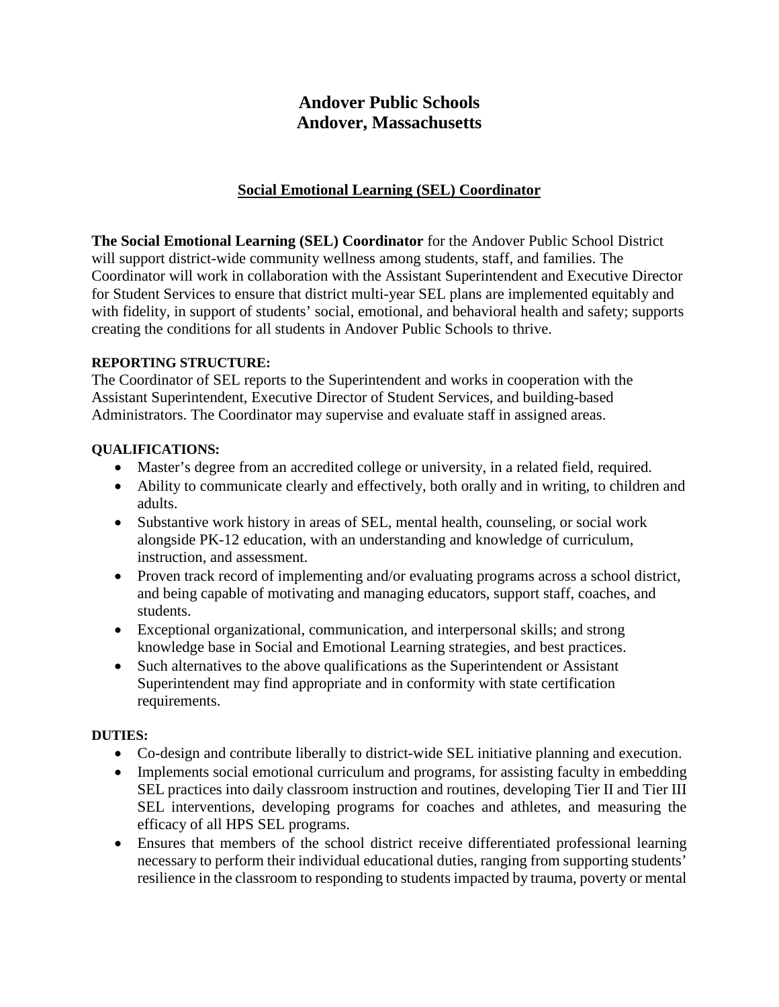# **Andover Public Schools Andover, Massachusetts**

## **Social Emotional Learning (SEL) Coordinator**

**The Social Emotional Learning (SEL) Coordinator** for the Andover Public School District will support district-wide community wellness among students, staff, and families. The Coordinator will work in collaboration with the Assistant Superintendent and Executive Director for Student Services to ensure that district multi-year SEL plans are implemented equitably and with fidelity, in support of students' social, emotional, and behavioral health and safety; supports creating the conditions for all students in Andover Public Schools to thrive.

#### **REPORTING STRUCTURE:**

The Coordinator of SEL reports to the Superintendent and works in cooperation with the Assistant Superintendent, Executive Director of Student Services, and building-based Administrators. The Coordinator may supervise and evaluate staff in assigned areas.

#### **QUALIFICATIONS:**

- Master's degree from an accredited college or university, in a related field, required.
- Ability to communicate clearly and effectively, both orally and in writing, to children and adults.
- Substantive work history in areas of SEL, mental health, counseling, or social work alongside PK-12 education, with an understanding and knowledge of curriculum, instruction, and assessment.
- Proven track record of implementing and/or evaluating programs across a school district, and being capable of motivating and managing educators, support staff, coaches, and students.
- Exceptional organizational, communication, and interpersonal skills; and strong knowledge base in Social and Emotional Learning strategies, and best practices.
- Such alternatives to the above qualifications as the Superintendent or Assistant Superintendent may find appropriate and in conformity with state certification requirements.

## **DUTIES:**

- Co-design and contribute liberally to district-wide SEL initiative planning and execution.
- Implements social emotional curriculum and programs, for assisting faculty in embedding SEL practices into daily classroom instruction and routines, developing Tier II and Tier III SEL interventions, developing programs for coaches and athletes, and measuring the efficacy of all HPS SEL programs.
- Ensures that members of the school district receive differentiated professional learning necessary to perform their individual educational duties, ranging from supporting students' resilience in the classroom to responding to students impacted by trauma, poverty or mental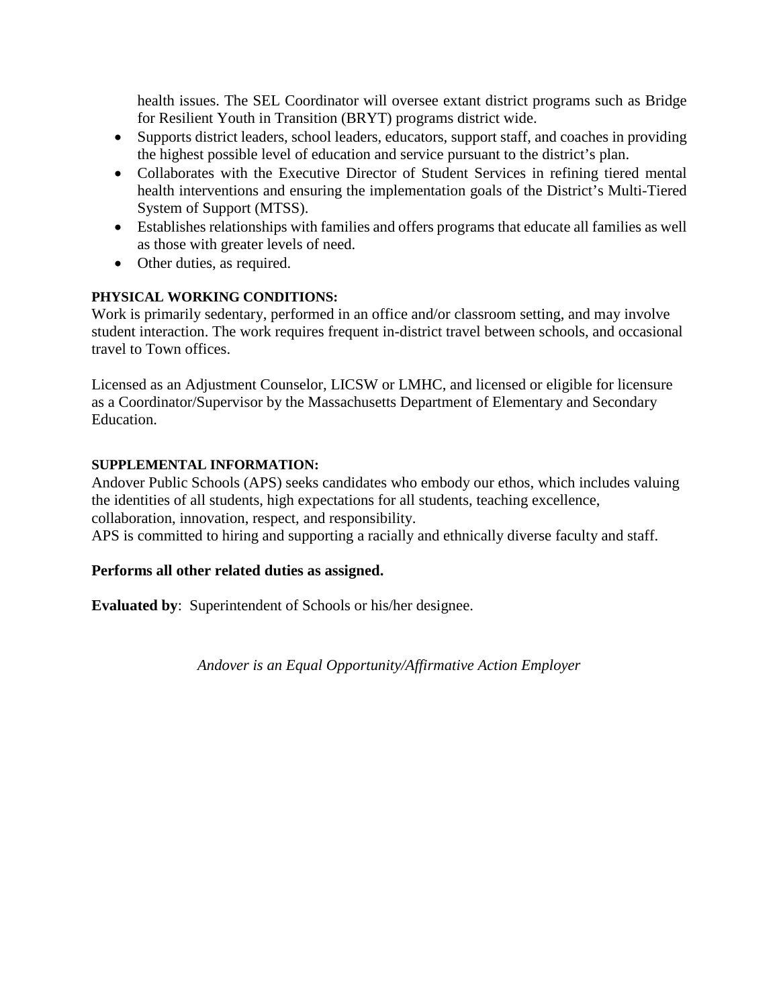health issues. The SEL Coordinator will oversee extant district programs such as Bridge for Resilient Youth in Transition (BRYT) programs district wide.

- Supports district leaders, school leaders, educators, support staff, and coaches in providing the highest possible level of education and service pursuant to the district's plan.
- Collaborates with the Executive Director of Student Services in refining tiered mental health interventions and ensuring the implementation goals of the District's Multi-Tiered System of Support (MTSS).
- Establishes relationships with families and offers programs that educate all families as well as those with greater levels of need.
- Other duties, as required.

## **PHYSICAL WORKING CONDITIONS:**

Work is primarily sedentary, performed in an office and/or classroom setting, and may involve student interaction. The work requires frequent in-district travel between schools, and occasional travel to Town offices.

Licensed as an Adjustment Counselor, LICSW or LMHC, and licensed or eligible for licensure as a Coordinator/Supervisor by the Massachusetts Department of Elementary and Secondary Education.

#### **SUPPLEMENTAL INFORMATION:**

Andover Public Schools (APS) seeks candidates who embody our ethos, which includes valuing the identities of all students, high expectations for all students, teaching excellence, collaboration, innovation, respect, and responsibility.

APS is committed to hiring and supporting a racially and ethnically diverse faculty and staff.

## **Performs all other related duties as assigned.**

**Evaluated by**: Superintendent of Schools or his/her designee.

*Andover is an Equal Opportunity/Affirmative Action Employer*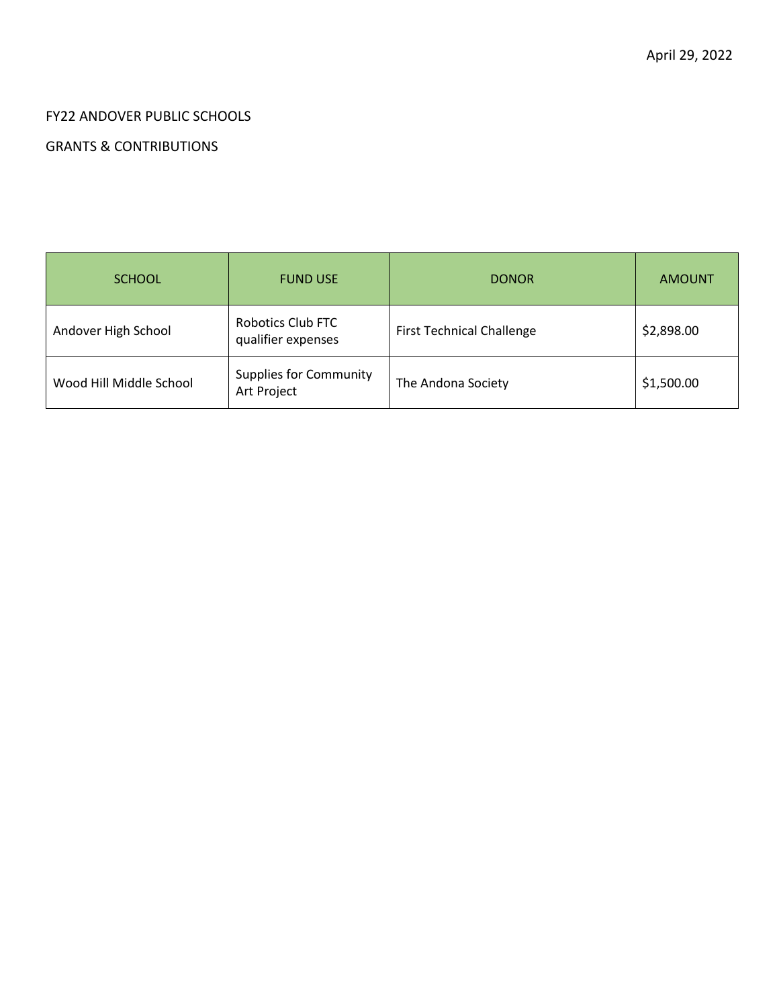## FY22 ANDOVER PUBLIC SCHOOLS

## GRANTS & CONTRIBUTIONS

| <b>SCHOOL</b>           | <b>FUND USE</b>                              | <b>DONOR</b>                     | <b>AMOUNT</b> |
|-------------------------|----------------------------------------------|----------------------------------|---------------|
| Andover High School     | Robotics Club FTC<br>qualifier expenses      | <b>First Technical Challenge</b> | \$2,898.00    |
| Wood Hill Middle School | <b>Supplies for Community</b><br>Art Project | The Andona Society               | \$1,500.00    |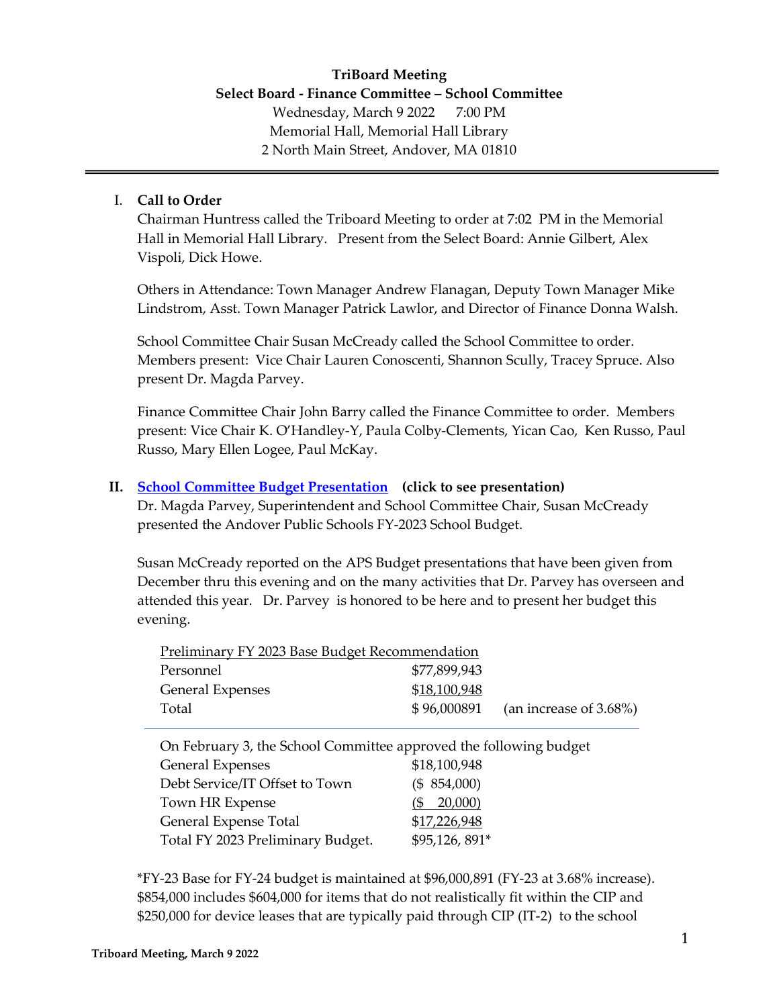## <span id="page-7-0"></span>**TriBoard Meeting Select Board - Finance Committee – School Committee** Wednesday, March 9 2022 7:00 PM Memorial Hall, Memorial Hall Library 2 North Main Street, Andover, MA 01810

#### I. **Call to Order**

Chairman Huntress called the Triboard Meeting to order at 7:02 PM in the Memorial Hall in Memorial Hall Library. Present from the Select Board: Annie Gilbert, Alex Vispoli, Dick Howe.

Others in Attendance: Town Manager Andrew Flanagan, Deputy Town Manager Mike Lindstrom, Asst. Town Manager Patrick Lawlor, and Director of Finance Donna Walsh.

School Committee Chair Susan McCready called the School Committee to order. Members present: Vice Chair Lauren Conoscenti, Shannon Scully, Tracey Spruce. Also present Dr. Magda Parvey.

Finance Committee Chair John Barry called the Finance Committee to order. Members present: Vice Chair K. O'Handley-Y, Paula Colby-Clements, Yican Cao, Ken Russo, Paul Russo, Mary Ellen Logee, Paul McKay.

#### **II. [School Committee Budget Presentation](#page-7-0) (click to see presentation)**

Dr. Magda Parvey, Superintendent and School Committee Chair, Susan McCready presented the Andover Public Schools FY-2023 School Budget.

Susan McCready reported on the APS Budget presentations that have been given from December thru this evening and on the many activities that Dr. Parvey has overseen and attended this year. Dr. Parvey is honored to be here and to present her budget this evening.

| Preliminary FY 2023 Base Budget Recommendation |              |                                     |  |  |  |  |
|------------------------------------------------|--------------|-------------------------------------|--|--|--|--|
| Personnel                                      | \$77,899,943 |                                     |  |  |  |  |
| <b>General Expenses</b>                        | \$18,100,948 |                                     |  |  |  |  |
| Total                                          |              | $$96,000891$ (an increase of 3.68%) |  |  |  |  |

On February 3, the School Committee approved the following budget

| General Expenses                  | \$18,100,948   |
|-----------------------------------|----------------|
| Debt Service/IT Offset to Town    | (\$54,000)     |
| Town HR Expense                   | $($ \$ 20,000) |
| General Expense Total             | \$17,226,948   |
| Total FY 2023 Preliminary Budget. | \$95,126,891*  |

\*FY-23 Base for FY-24 budget is maintained at \$96,000,891 (FY-23 at 3.68% increase). \$854,000 includes \$604,000 for items that do not realistically fit within the CIP and \$250,000 for device leases that are typically paid through CIP (IT-2) to the school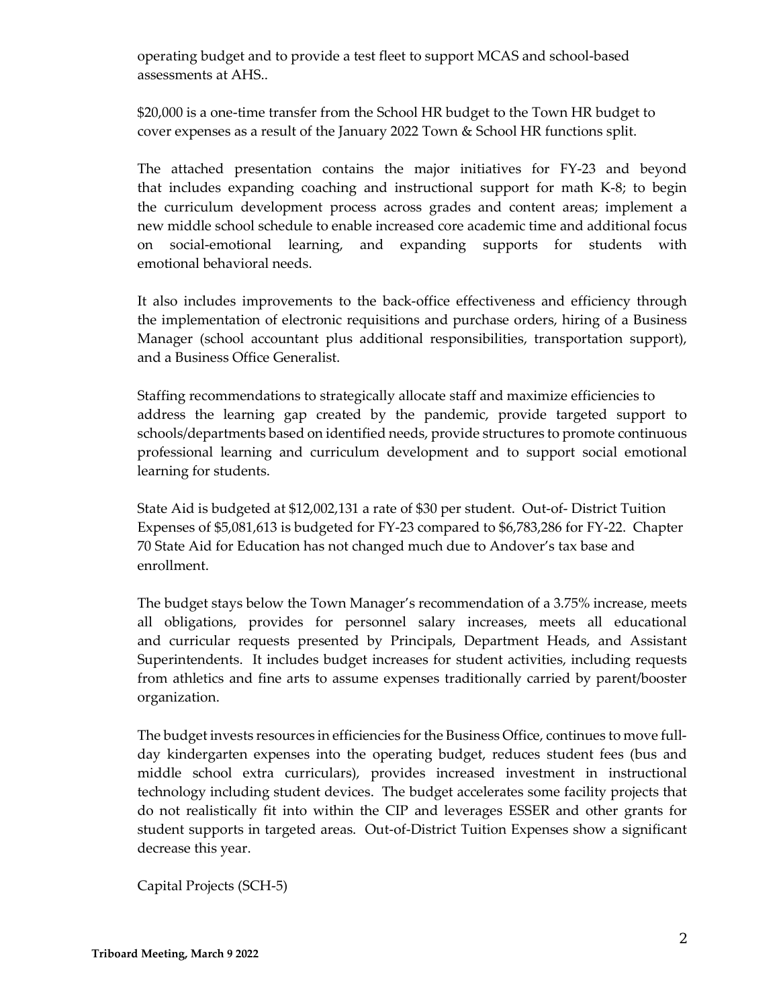operating budget and to provide a test fleet to support MCAS and school-based assessments at AHS..

\$20,000 is a one-time transfer from the School HR budget to the Town HR budget to cover expenses as a result of the January 2022 Town & School HR functions split.

The attached presentation contains the major initiatives for FY-23 and beyond that includes expanding coaching and instructional support for math K-8; to begin the curriculum development process across grades and content areas; implement a new middle school schedule to enable increased core academic time and additional focus on social-emotional learning, and expanding supports for students with emotional behavioral needs.

It also includes improvements to the back-office effectiveness and efficiency through the implementation of electronic requisitions and purchase orders, hiring of a Business Manager (school accountant plus additional responsibilities, transportation support), and a Business Office Generalist.

Staffing recommendations to strategically allocate staff and maximize efficiencies to address the learning gap created by the pandemic, provide targeted support to schools/departments based on identified needs, provide structures to promote continuous professional learning and curriculum development and to support social emotional learning for students.

State Aid is budgeted at \$12,002,131 a rate of \$30 per student. Out-of- District Tuition Expenses of \$5,081,613 is budgeted for FY-23 compared to \$6,783,286 for FY-22. Chapter 70 State Aid for Education has not changed much due to Andover's tax base and enrollment.

The budget stays below the Town Manager's recommendation of a 3.75% increase, meets all obligations, provides for personnel salary increases, meets all educational and curricular requests presented by Principals, Department Heads, and Assistant Superintendents. It includes budget increases for student activities, including requests from athletics and fine arts to assume expenses traditionally carried by parent/booster organization.

The budget invests resources in efficiencies for the Business Office, continues to move fullday kindergarten expenses into the operating budget, reduces student fees (bus and middle school extra curriculars), provides increased investment in instructional technology including student devices. The budget accelerates some facility projects that do not realistically fit into within the CIP and leverages ESSER and other grants for student supports in targeted areas. Out-of-District Tuition Expenses show a significant decrease this year.

Capital Projects (SCH-5)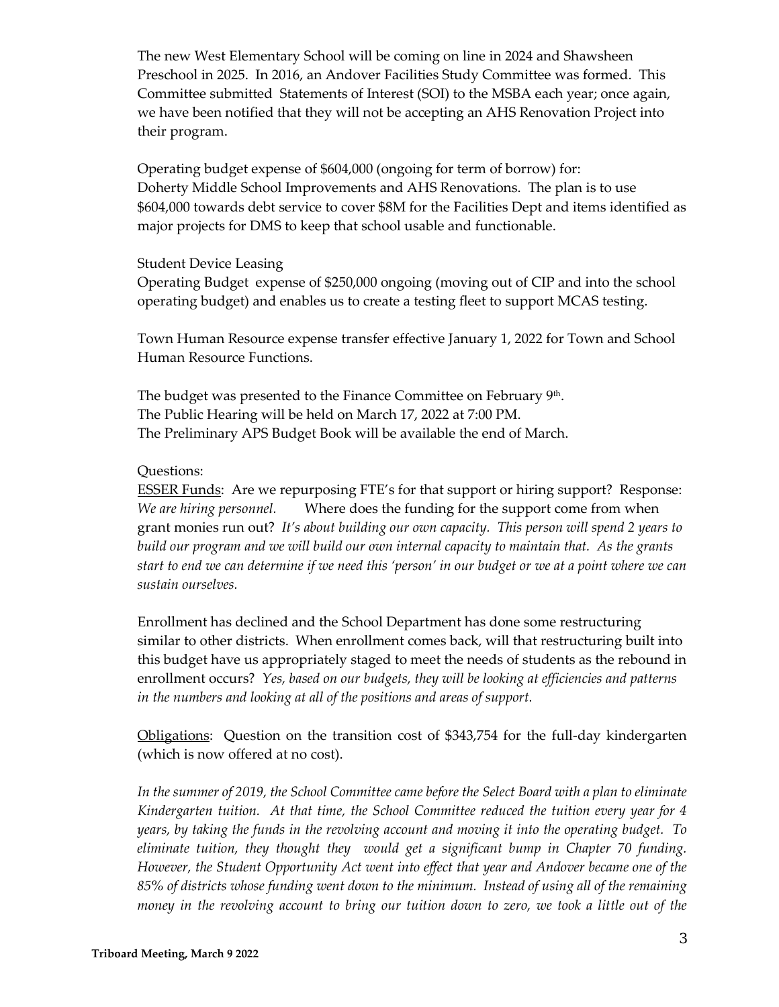The new West Elementary School will be coming on line in 2024 and Shawsheen Preschool in 2025. In 2016, an Andover Facilities Study Committee was formed. This Committee submitted Statements of Interest (SOI) to the MSBA each year; once again, we have been notified that they will not be accepting an AHS Renovation Project into their program.

Operating budget expense of \$604,000 (ongoing for term of borrow) for: Doherty Middle School Improvements and AHS Renovations. The plan is to use \$604,000 towards debt service to cover \$8M for the Facilities Dept and items identified as major projects for DMS to keep that school usable and functionable.

#### Student Device Leasing

Operating Budget expense of \$250,000 ongoing (moving out of CIP and into the school operating budget) and enables us to create a testing fleet to support MCAS testing.

Town Human Resource expense transfer effective January 1, 2022 for Town and School Human Resource Functions.

The budget was presented to the Finance Committee on February 9<sup>th</sup>. The Public Hearing will be held on March 17, 2022 at 7:00 PM. The Preliminary APS Budget Book will be available the end of March.

#### Questions:

ESSER Funds: Are we repurposing FTE's for that support or hiring support? Response: *We are hiring personnel.* Where does the funding for the support come from when grant monies run out? *It's about building our own capacity. This person will spend 2 years to build our program and we will build our own internal capacity to maintain that. As the grants start to end we can determine if we need this 'person' in our budget or we at a point where we can sustain ourselves.* 

Enrollment has declined and the School Department has done some restructuring similar to other districts. When enrollment comes back, will that restructuring built into this budget have us appropriately staged to meet the needs of students as the rebound in enrollment occurs? *Yes, based on our budgets, they will be looking at efficiencies and patterns in the numbers and looking at all of the positions and areas of support.* 

Obligations: Question on the transition cost of \$343,754 for the full-day kindergarten (which is now offered at no cost).

*In the summer of 2019, the School Committee came before the Select Board with a plan to eliminate Kindergarten tuition. At that time, the School Committee reduced the tuition every year for 4 years, by taking the funds in the revolving account and moving it into the operating budget. To eliminate tuition, they thought they would get a significant bump in Chapter 70 funding. However, the Student Opportunity Act went into effect that year and Andover became one of the 85% of districts whose funding went down to the minimum. Instead of using all of the remaining money in the revolving account to bring our tuition down to zero, we took a little out of the*